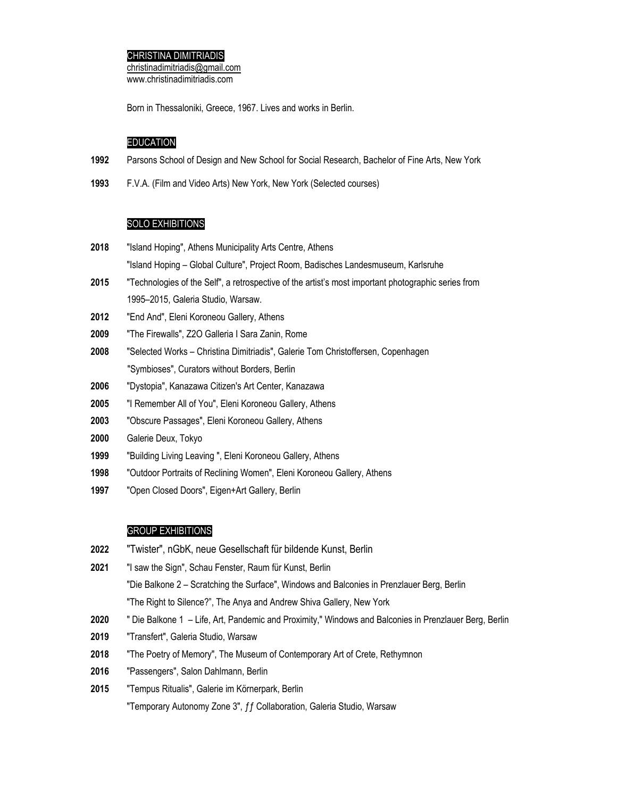## CHRISTINA DIMITRIADIS

 $christinadimitriadis@gmail.com$ www.christinadimitriadis.com

Born in Thessaloniki, Greece, 1967. Lives and works in Berlin.

## EDUCATION

- Parsons School of Design and New School for Social Research, Bachelor of Fine Arts, New York
- F.V.A. (Film and Video Arts) New York, New York (Selected courses)

# SOLO EXHIBITIONS

- "Island Hoping", Athens Municipality Arts Centre, Athens "Island Hoping – Global Culture", Project Room, Badisches Landesmuseum, Karlsruhe
- "Technologies of the Self", a retrospective of the artist's most important photographic series from 1995–2015, Galeria Studio, Warsaw.
- "End And", Eleni Koroneou Gallery, Athens
- "The Firewalls", Z2O Galleria I Sara Zanin, Rome
- "Selected Works Christina Dimitriadis", Galerie Tom Christoffersen, Copenhagen "Symbioses", Curators without Borders, Berlin
- "Dystopia", Kanazawa Citizen's Art Center, Kanazawa
- "I Remember All of You", Eleni Koroneou Gallery, Athens
- "Obscure Passages", Eleni Koroneou Gallery, Athens
- Galerie Deux, Tokyo
- "Building Living Leaving ", Eleni Koroneou Gallery, Athens
- "Outdoor Portraits of Reclining Women", Eleni Koroneou Gallery, Athens
- "Open Closed Doors", Eigen+Art Gallery, Berlin

### GROUP EXHIBITIONS

- "Twister", nGbK, neue Gesellschaft für bildende Kunst, Berlin
- "I saw the Sign", Schau Fenster, Raum für Kunst, Berlin "Die Balkone 2 – Scratching the Surface", Windows and Balconies in Prenzlauer Berg, Berlin "The Right to Silence?", The Anya and Andrew Shiva Gallery, New York
- " Die Balkone 1 Life, Art, Pandemic and Proximity," Windows and Balconies in Prenzlauer Berg, Berlin
- "Transfert", Galeria Studio, Warsaw
- "The Poetry of Memory", The Museum of Contemporary Art of Crete, Rethymnon
- "Passengers", Salon Dahlmann, Berlin
- "Tempus Ritualis", Galerie im Körnerpark, Berlin

"Temporary Autonomy Zone 3", ƒƒ Collaboration, Galeria Studio, Warsaw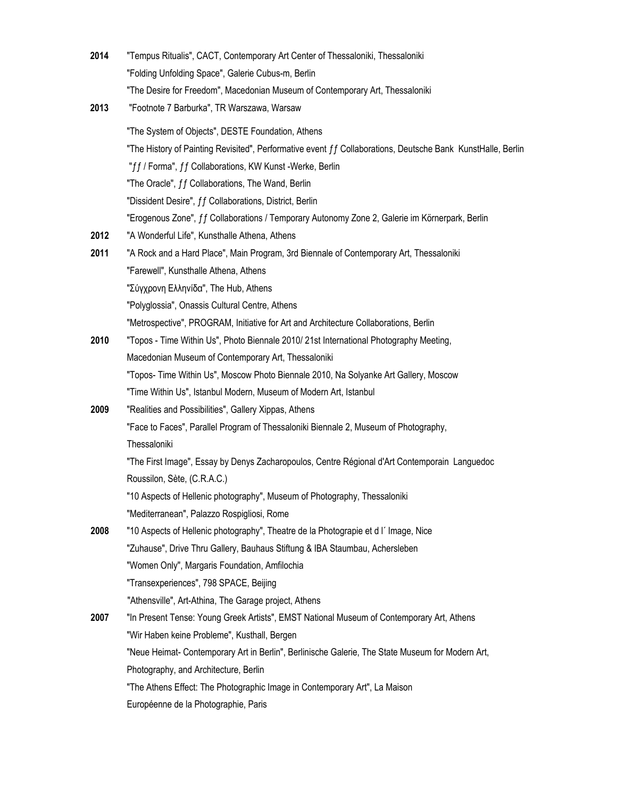| 2014 | "Tempus Ritualis", CACT, Contemporary Art Center of Thessaloniki, Thessaloniki                              |
|------|-------------------------------------------------------------------------------------------------------------|
|      | "Folding Unfolding Space", Galerie Cubus-m, Berlin                                                          |
|      | "The Desire for Freedom", Macedonian Museum of Contemporary Art, Thessaloniki                               |
| 2013 | "Footnote 7 Barburka", TR Warszawa, Warsaw                                                                  |
|      | "The System of Objects", DESTE Foundation, Athens                                                           |
|      | "The History of Painting Revisited", Performative event ff Collaborations, Deutsche Bank KunstHalle, Berlin |
|      | "ff / Forma", ff Collaborations, KW Kunst -Werke, Berlin                                                    |
|      | "The Oracle", ff Collaborations, The Wand, Berlin                                                           |
|      | "Dissident Desire", ff Collaborations, District, Berlin                                                     |
|      | "Erogenous Zone", ff Collaborations / Temporary Autonomy Zone 2, Galerie im Körnerpark, Berlin              |
| 2012 | "A Wonderful Life", Kunsthalle Athena, Athens                                                               |
| 2011 | "A Rock and a Hard Place", Main Program, 3rd Biennale of Contemporary Art, Thessaloniki                     |
|      | "Farewell", Kunsthalle Athena, Athens                                                                       |
|      | "Σύγχρονη Ελληνίδα", The Hub, Athens                                                                        |
|      | "Polyglossia", Onassis Cultural Centre, Athens                                                              |
|      | "Metrospective", PROGRAM, Initiative for Art and Architecture Collaborations, Berlin                        |
| 2010 | "Topos - Time Within Us", Photo Biennale 2010/ 21st International Photography Meeting,                      |
|      | Macedonian Museum of Contemporary Art, Thessaloniki                                                         |
|      | "Topos- Time Within Us", Moscow Photo Biennale 2010, Na Solyanke Art Gallery, Moscow                        |
|      | "Time Within Us", Istanbul Modern, Museum of Modern Art, Istanbul                                           |
| 2009 | "Realities and Possibilities", Gallery Xippas, Athens                                                       |
|      | "Face to Faces", Parallel Program of Thessaloniki Biennale 2, Museum of Photography,                        |
|      | Thessaloniki                                                                                                |
|      | "The First Image", Essay by Denys Zacharopoulos, Centre Régional d'Art Contemporain Languedoc               |
|      | Roussilon, Sète, (C.R.A.C.)                                                                                 |
|      | "10 Aspects of Hellenic photography", Museum of Photography, Thessaloniki                                   |
|      | "Mediterranean", Palazzo Rospigliosi, Rome                                                                  |
| 2008 | "10 Aspects of Hellenic photography", Theatre de la Photograpie et d l' Image, Nice                         |
|      | "Zuhause", Drive Thru Gallery, Bauhaus Stiftung & IBA Staumbau, Achersleben                                 |
|      | "Women Only", Margaris Foundation, Amfilochia                                                               |
|      | "Transexperiences", 798 SPACE, Beijing                                                                      |
|      | "Athensville", Art-Athina, The Garage project, Athens                                                       |
| 2007 | "In Present Tense: Young Greek Artists", EMST National Museum of Contemporary Art, Athens                   |
|      | "Wir Haben keine Probleme", Kusthall, Bergen                                                                |
|      | "Neue Heimat- Contemporary Art in Berlin", Berlinische Galerie, The State Museum for Modern Art,            |
|      | Photography, and Architecture, Berlin                                                                       |
|      | "The Athens Effect: The Photographic Image in Contemporary Art", La Maison                                  |
|      | Européenne de la Photographie, Paris                                                                        |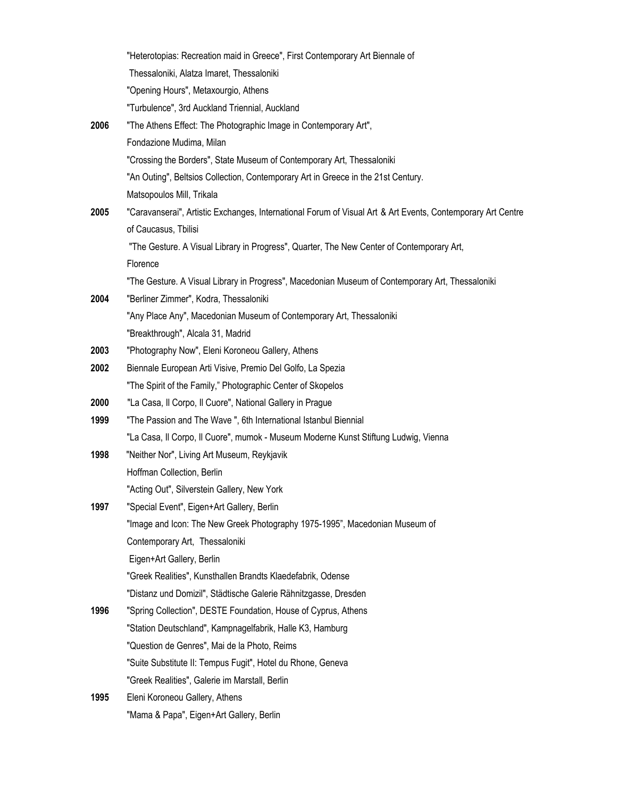|      | "Heterotopias: Recreation maid in Greece", First Contemporary Art Biennale of                               |
|------|-------------------------------------------------------------------------------------------------------------|
|      | Thessaloniki, Alatza Imaret, Thessaloniki                                                                   |
|      | "Opening Hours", Metaxourgio, Athens                                                                        |
|      | "Turbulence", 3rd Auckland Triennial, Auckland                                                              |
| 2006 | "The Athens Effect: The Photographic Image in Contemporary Art",                                            |
|      | Fondazione Mudima, Milan                                                                                    |
|      | "Crossing the Borders", State Museum of Contemporary Art, Thessaloniki                                      |
|      | "An Outing", Beltsios Collection, Contemporary Art in Greece in the 21st Century.                           |
|      | Matsopoulos Mill, Trikala                                                                                   |
| 2005 | "Caravanserai", Artistic Exchanges, International Forum of Visual Art & Art Events, Contemporary Art Centre |
|      | of Caucasus, Tbilisi                                                                                        |
|      | "The Gesture. A Visual Library in Progress", Quarter, The New Center of Contemporary Art,                   |
|      | Florence                                                                                                    |
|      | "The Gesture. A Visual Library in Progress", Macedonian Museum of Contemporary Art, Thessaloniki            |
| 2004 | "Berliner Zimmer", Kodra, Thessaloniki                                                                      |
|      | "Any Place Any", Macedonian Museum of Contemporary Art, Thessaloniki                                        |
|      | "Breakthrough", Alcala 31, Madrid                                                                           |
| 2003 | "Photography Now", Eleni Koroneou Gallery, Athens                                                           |
| 2002 | Biennale European Arti Visive, Premio Del Golfo, La Spezia                                                  |
|      | "The Spirit of the Family," Photographic Center of Skopelos                                                 |
| 2000 | "La Casa, Il Corpo, Il Cuore", National Gallery in Prague                                                   |
| 1999 | "The Passion and The Wave", 6th International Istanbul Biennial                                             |
|      | "La Casa, Il Corpo, Il Cuore", mumok - Museum Moderne Kunst Stiftung Ludwig, Vienna                         |
| 1998 | "Neither Nor", Living Art Museum, Reykjavik                                                                 |
|      | Hoffman Collection, Berlin                                                                                  |
|      | "Acting Out", Silverstein Gallery, New York                                                                 |
| 1997 | "Special Event", Eigen+Art Gallery, Berlin                                                                  |
|      | "Image and Icon: The New Greek Photography 1975-1995", Macedonian Museum of                                 |
|      | Contemporary Art, Thessaloniki                                                                              |
|      | Eigen+Art Gallery, Berlin                                                                                   |
|      | "Greek Realities", Kunsthallen Brandts Klaedefabrik, Odense                                                 |
|      | "Distanz und Domizil", Städtische Galerie Rähnitzgasse, Dresden                                             |
| 1996 | "Spring Collection", DESTE Foundation, House of Cyprus, Athens                                              |
|      | "Station Deutschland", Kampnagelfabrik, Halle K3, Hamburg                                                   |
|      | "Question de Genres", Mai de la Photo, Reims                                                                |
|      | "Suite Substitute II: Tempus Fugit", Hotel du Rhone, Geneva                                                 |
|      | "Greek Realities", Galerie im Marstall, Berlin                                                              |
| 1995 | Eleni Koroneou Gallery, Athens                                                                              |
|      | "Mama & Papa", Eigen+Art Gallery, Berlin                                                                    |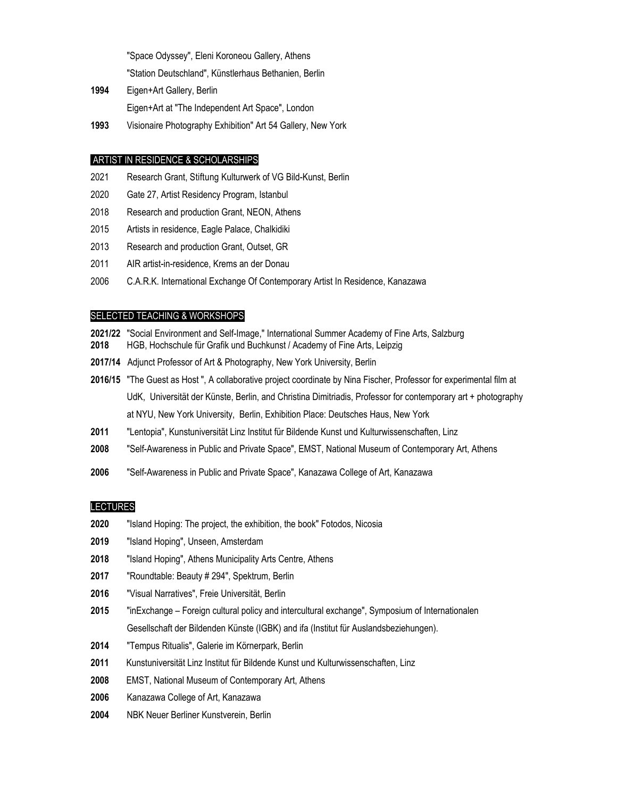"Space Odyssey", Eleni Koroneou Gallery, Athens "Station Deutschland", Künstlerhaus Bethanien, Berlin

- Eigen+Art Gallery, Berlin Eigen+Art at "The Independent Art Space", London
- Visionaire Photography Exhibition" Art 54 Gallery, New York

# ARTIST IN RESIDENCE & SCHOLARSHIPS

- Research Grant, Stiftung Kulturwerk of VG Bild-Kunst, Berlin
- Gate 27, Artist Residency Program, Istanbul
- 2018 Research and production Grant, NEON, Athens
- Artists in residence, Eagle Palace, Chalkidiki
- 2013 Research and production Grant, Outset, GR
- AIR artist-in-residence, Krems an der Donau
- C.A.R.K. International Exchange Of Contemporary Artist In Residence, Kanazawa

### SELECTED TEACHING & WORKSHOPS

- **2021/22** "Social Environment and Self-Image," International Summer Academy of Fine Arts, Salzburg HGB, Hochschule für Grafik und Buchkunst / Academy of Fine Arts, Leipzig
- **2017/14** Adjunct Professor of Art & Photography, New York University, Berlin
- **2016/15** "The Guest as Host ", A collaborative project coordinate by Nina Fischer, Professor for experimental film at UdK, Universität der Künste, Berlin, and Christina Dimitriadis, Professor for contemporary art + photography at NYU, New York University, Berlin, Exhibition Place: Deutsches Haus, New York
- "Lentopia", Kunstuniversität Linz Institut für Bildende Kunst und Kulturwissenschaften, Linz
- "Self-Awareness in Public and Private Space", EMST, National Museum of Contemporary Art, Athens
- "Self-Awareness in Public and Private Space", Kanazawa College of Art, Kanazawa

### LECTURES

- "Island Hoping: The project, the exhibition, the book" Fotodos, Nicosia
- "Island Hoping", Unseen, Amsterdam
- "Island Hoping", Athens Municipality Arts Centre, Athens
- "Roundtable: Beauty # 294", Spektrum, Berlin
- "Visual Narratives", Freie Universität, Berlin
- "inExchange Foreign cultural policy and intercultural exchange", Symposium of Internationalen Gesellschaft der Bildenden Künste (IGBK) and ifa (Institut für Auslandsbeziehungen).
- "Tempus Ritualis", Galerie im Körnerpark, Berlin
- Kunstuniversität Linz Institut für Bildende Kunst und Kulturwissenschaften, Linz
- EMST, National Museum of Contemporary Art, Athens
- Kanazawa College of Art, Kanazawa
- NBK Neuer Berliner Kunstverein, Berlin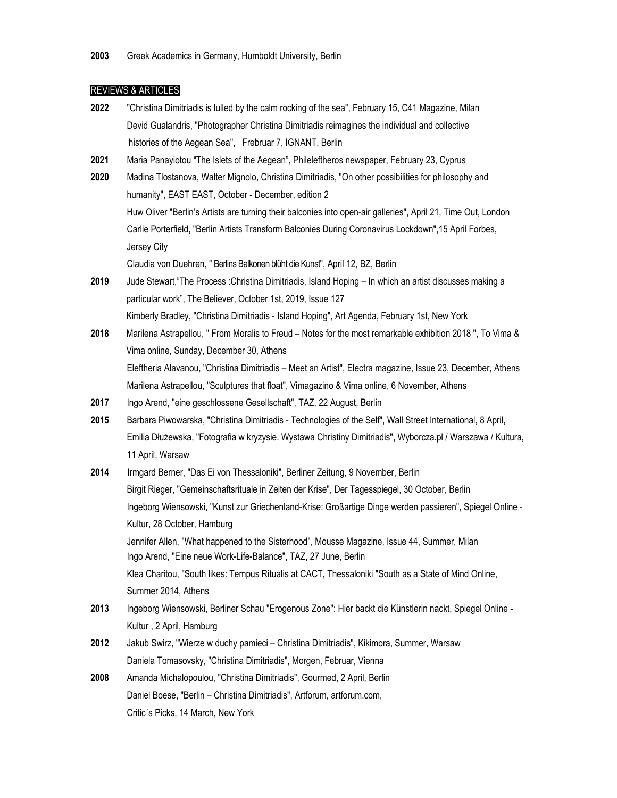## REVIEWS & ARTICLES

**2022** "Christina Dimitriadis is lulled by the calm rocking of the sea", February 15, C41 Magazine, Milan Devid Gualandris, "Photographer Christina Dimitriadis reimagines the individual and collective histories of the Aegean Sea", Frebruar 7, IGNANT, Berlin **2021** Maria Panayiotou "The Islets of the Aegean", Phileleftheros newspaper, February 23, Cyprus **2020** Madina Tlostanova, Walter Mignolo, Christina Dimitriadis, "On other possibilities for philosophy and humanity", EAST EAST, October - December, edition 2 Huw Oliver "Berlin's Artists are turning their balconies into open-air galleries", April 21, Time Out, London Carlie Porterfield, "Berlin Artists Transform Balconies During Coronavirus Lockdown",15 April Forbes,

Jersey City

Claudia von Duehren, " Berlins Balkonen blüht die Kunst", April 12, BZ, Berlin

- **2019** Jude Stewart,"The Process :Christina Dimitriadis, Island Hoping In which an artist discusses making a particular work", The Believer, October 1st, 2019, Issue 127 Kimberly Bradley, "Christina Dimitriadis - Island Hoping", Art Agenda, February 1st, New York
- **2018** Marilena Astrapellou, " From Moralis to Freud Notes for the most remarkable exhibition 2018 ", To Vima & Vima online, Sunday, December 30, Athens Eleftheria Alavanou, "Christina Dimitriadis – Meet an Artist", Electra magazine, Issue 23, December, Athens Marilena Astrapellou, "Sculptures that float", Vimagazino & Vima online, 6 November, Athens
- **2017** Ingo Arend, "eine geschlossene Gesellschaft", TAZ, 22 August, Berlin
- **2015** Barbara Piwowarska, "Christina Dimitriadis Technologies of the Self", Wall Street International, 8 April, Emilia Dłużewska, "Fotografia w kryzysie. Wystawa Christiny Dimitriadis", Wyborcza.pl / Warszawa / Kultura, 11 April, Warsaw
- **2014** Irmgard Berner, "Das Ei von Thessaloniki", Berliner Zeitung, 9 November, Berlin Birgit Rieger, "Gemeinschaftsrituale in Zeiten der Krise", Der Tagesspiegel, 30 October, Berlin Ingeborg Wiensowski, "Kunst zur Griechenland-Krise: Großartige Dinge werden passieren", Spiegel Online - Kultur, 28 October, Hamburg Jennifer Allen, "What happened to the Sisterhood", Mousse Magazine, Issue 44, Summer, Milan Ingo Arend, "Eine neue Work-Life-Balance", TAZ, 27 June, Berlin Klea Charitou, "South likes: Tempus Ritualis at CACT, Thessaloniki "South as a State of Mind Online, Summer 2014, Athens
- **2013** Ingeborg Wiensowski, Berliner Schau "Erogenous Zone": Hier backt die Künstlerin nackt, Spiegel Online Kultur , 2 April, Hamburg
- **2012** Jakub Swirz, "Wierze w duchy pamieci Christina Dimitriadis", Kikimora, Summer, Warsaw Daniela Tomasovsky, "Christina Dimitriadis", Morgen, Februar, Vienna
- **2008** Amanda Michalopoulou, "Christina Dimitriadis", Gourmed, 2 April, Berlin Daniel Boese, "Berlin – Christina Dimitriadis", Artforum, artforum.com, Critic´s Picks, 14 March, New York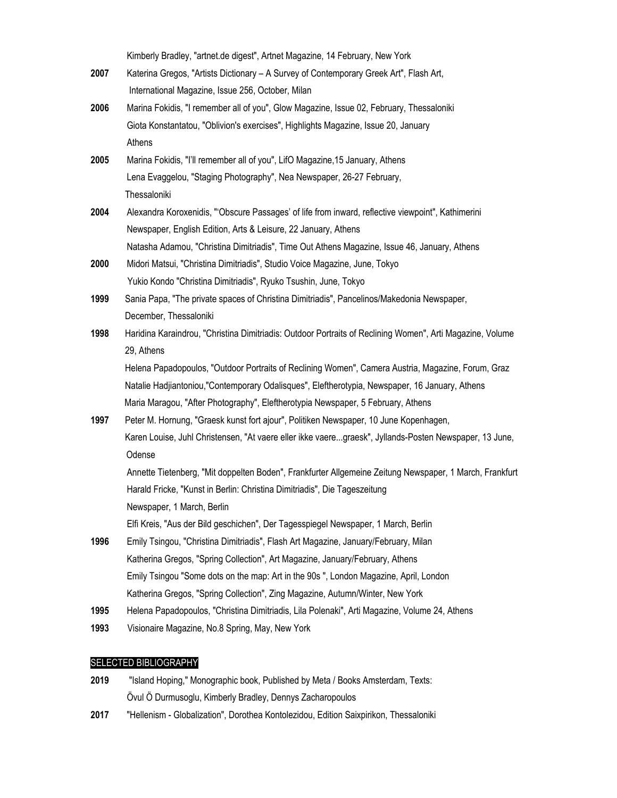Kimberly Bradley, "artnet.de digest", Artnet Magazine, 14 February, New York

- **2007** Katerina Gregos, "Artists Dictionary A Survey of Contemporary Greek Art", Flash Art, International Magazine, Issue 256, October, Milan
- **2006** Marina Fokidis, "I remember all of you", Glow Magazine, Issue 02, February, Thessaloniki Giota Konstantatou, "Oblivion's exercises", Highlights Magazine, Issue 20, January Athens
- **2005** Marina Fokidis, "I'll remember all of you", LifO Magazine,15 January, Athens Lena Evaggelou, "Staging Photography", Nea Newspaper, 26-27 February, **Thessaloniki**
- **2004** Alexandra Koroxenidis, "'Obscure Passages' of life from inward, reflective viewpoint", Kathimerini Newspaper, English Edition, Arts & Leisure, 22 January, Athens
	- Natasha Adamou, "Christina Dimitriadis", Time Out Athens Magazine, Issue 46, January, Athens
- **2000** Midori Matsui, "Christina Dimitriadis", Studio Voice Magazine, June, Tokyo Yukio Kondo "Christina Dimitriadis", Ryuko Tsushin, June, Tokyo
- **1999** Sania Papa, "The private spaces of Christina Dimitriadis", Pancelinos/Makedonia Newspaper, December, Thessaloniki
- **1998** Haridina Karaindrou, "Christina Dimitriadis: Outdoor Portraits of Reclining Women", Arti Magazine, Volume 29, Athens

 Helena Papadopoulos, "Outdoor Portraits of Reclining Women", Camera Austria, Magazine, Forum, Graz Natalie Hadjiantoniou,"Contemporary Odalisques", Eleftherotypia, Newspaper, 16 January, Athens Maria Maragou, "After Photography", Eleftherotypia Newspaper, 5 February, Athens

**1997** Peter M. Hornung, "Graesk kunst fort ajour", Politiken Newspaper, 10 June Kopenhagen, Karen Louise, Juhl Christensen, "At vaere eller ikke vaere...graesk", Jyllands-Posten Newspaper, 13 June, Odense Annette Tietenberg, "Mit doppelten Boden", Frankfurter Allgemeine Zeitung Newspaper, 1 March, Frankfurt

Harald Fricke, "Kunst in Berlin: Christina Dimitriadis", Die Tageszeitung

Newspaper, 1 March, Berlin

Elfi Kreis, "Aus der Bild geschichen", Der Tagesspiegel Newspaper, 1 March, Berlin

- **1996** Emily Tsingou, "Christina Dimitriadis", Flash Art Magazine, January/February, Milan Katherina Gregos, "Spring Collection", Art Magazine, January/February, Athens Emily Tsingou "Some dots on the map: Art in the 90s ", London Magazine, April, London Katherina Gregos, "Spring Collection", Zing Magazine, Autumn/Winter, New York
- **1995** Helena Papadopoulos, "Christina Dimitriadis, Lila Polenaki", Arti Magazine, Volume 24, Athens
- **1993** Visionaire Magazine, No.8 Spring, May, New York

# SELECTED BIBLIOGRAPHY

- **2019** "Island Hoping," Monographic book, Published by Meta / Books Amsterdam, Texts: Övul Ö Durmusoglu, Kimberly Bradley, Dennys Zacharopoulos
- **2017** "Hellenism Globalization", Dorothea Kontolezidou, Edition Saixpirikon, Thessaloniki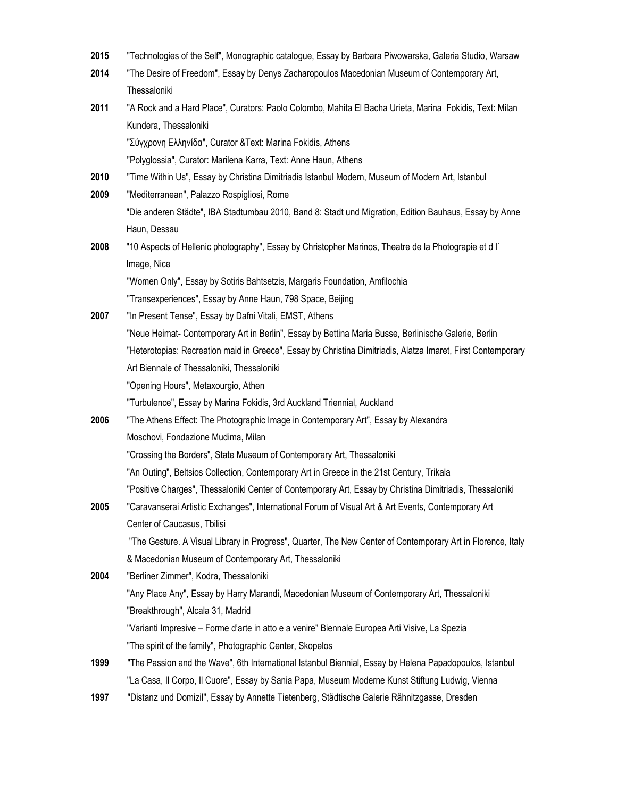| 2015 | "Technologies of the Self", Monographic catalogue, Essay by Barbara Piwowarska, Galeria Studio, Warsaw       |
|------|--------------------------------------------------------------------------------------------------------------|
| 2014 | "The Desire of Freedom", Essay by Denys Zacharopoulos Macedonian Museum of Contemporary Art,                 |
|      | Thessaloniki                                                                                                 |
| 2011 | "A Rock and a Hard Place", Curators: Paolo Colombo, Mahita El Bacha Urieta, Marina Fokidis, Text: Milan      |
|      | Kundera, Thessaloniki                                                                                        |
|      | "Σύγχρονη Ελληνίδα", Curator & Text: Marina Fokidis, Athens                                                  |
|      | "Polyglossia", Curator: Marilena Karra, Text: Anne Haun, Athens                                              |
| 2010 | "Time Within Us", Essay by Christina Dimitriadis Istanbul Modern, Museum of Modern Art, Istanbul             |
| 2009 | "Mediterranean", Palazzo Rospigliosi, Rome                                                                   |
|      | "Die anderen Städte", IBA Stadtumbau 2010, Band 8: Stadt und Migration, Edition Bauhaus, Essay by Anne       |
|      | Haun, Dessau                                                                                                 |
| 2008 | "10 Aspects of Hellenic photography", Essay by Christopher Marinos, Theatre de la Photograpie et d l'        |
|      | Image, Nice                                                                                                  |
|      | "Women Only", Essay by Sotiris Bahtsetzis, Margaris Foundation, Amfilochia                                   |
|      | "Transexperiences", Essay by Anne Haun, 798 Space, Beijing                                                   |
| 2007 | "In Present Tense", Essay by Dafni Vitali, EMST, Athens                                                      |
|      | "Neue Heimat- Contemporary Art in Berlin", Essay by Bettina Maria Busse, Berlinische Galerie, Berlin         |
|      | "Heterotopias: Recreation maid in Greece", Essay by Christina Dimitriadis, Alatza Imaret, First Contemporary |
|      | Art Biennale of Thessaloniki, Thessaloniki                                                                   |
|      | "Opening Hours", Metaxourgio, Athen                                                                          |
|      | "Turbulence", Essay by Marina Fokidis, 3rd Auckland Triennial, Auckland                                      |
| 2006 | "The Athens Effect: The Photographic Image in Contemporary Art", Essay by Alexandra                          |
|      | Moschovi, Fondazione Mudima, Milan                                                                           |
|      | "Crossing the Borders", State Museum of Contemporary Art, Thessaloniki                                       |
|      | "An Outing", Beltsios Collection, Contemporary Art in Greece in the 21st Century, Trikala                    |
|      | "Positive Charges", Thessaloniki Center of Contemporary Art, Essay by Christina Dimitriadis, Thessaloniki    |
| 2005 | "Caravanserai Artistic Exchanges", International Forum of Visual Art & Art Events, Contemporary Art          |
|      | Center of Caucasus, Tbilisi                                                                                  |
|      | "The Gesture. A Visual Library in Progress", Quarter, The New Center of Contemporary Art in Florence, Italy  |
|      | & Macedonian Museum of Contemporary Art, Thessaloniki                                                        |
| 2004 | "Berliner Zimmer", Kodra, Thessaloniki                                                                       |
|      | "Any Place Any", Essay by Harry Marandi, Macedonian Museum of Contemporary Art, Thessaloniki                 |
|      | "Breakthrough", Alcala 31, Madrid                                                                            |
|      | "Varianti Impresive - Forme d'arte in atto e a venire" Biennale Europea Arti Visive, La Spezia               |
|      | "The spirit of the family", Photographic Center, Skopelos                                                    |
| 1999 | "The Passion and the Wave", 6th International Istanbul Biennial, Essay by Helena Papadopoulos, Istanbul      |
|      | "La Casa, Il Corpo, Il Cuore", Essay by Sania Papa, Museum Moderne Kunst Stiftung Ludwig, Vienna             |
|      |                                                                                                              |

**1997** "Distanz und Domizil", Essay by Annette Tietenberg, Städtische Galerie Rähnitzgasse, Dresden